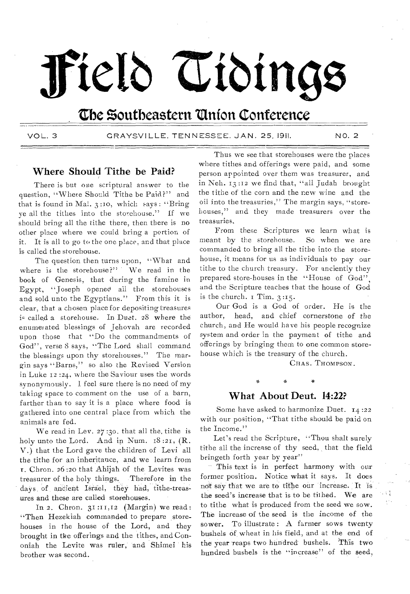# **fietb Zribinge**

# **Cbe Zoutbeastern 'Union Conference**

VOL. 3 GRAYSVILLE. TENNESSEE. JAN. 25, 1911. NO. 2

## **Where Should Tithe be Paid?**

There is but one scriptural answer to the question, "Where Should Tithe be Paid?" and that is found in Mal.  $3:10$ , which says: "Bring ye all the tithes into the storehouse." If we should bring all the tithe there, then there is no other place where we could bring a portion of it, It is all to go to the one place, and that place is called the storehouse.

The question then turns upon, "What and where is the storehouse?" We read in the book of Genesis, that during the famine in Egypt, "Joseph opened all the storehouses and sold unto the Egyptians." From this it is clear, that a chosen place for depositing treasures is called a storehouse. In Duet. 28 where the enumerated blessings of Jehovah are recorded upon those that "Do the commandments of God", verse 8 says, "The Lord shall command the blessings upon thy storehouses." The margin says "Barns," so also the Revised Version in Luke 12 :24, where the Saviour uses the words synonymously. 1 feel sure there is no need of my taking space to comment on the use of a barn, farther than to say it is a place where food is gathered into one central place from which the animals are fed.

We read in Lev. 27 :30. that all the, tithe is holy unto the Lord. And in Num.  $18:21$ , (R. V.) that the Lord gave the children of Levi all the tithe for an inheritance, and we learn from r. Chron. 26 :20 that Ahijah of the Levites was treasurer of the holy things. Therefore in the days of ancient Israel, they had, tithe-treasures and these are called storehouses.

In 2. Chron. 31:11,12 (Margin) we read: "Then Hezekiah commanded to prepare storehouses in the house of the Lord, and they brought in the offerings and the tithes, and Cononiah the Levite was ruler, and Shimei his brother was second.

Thus we see that storehouses were the places where tithes and offerings were paid, and some person appointed over them was treasurer, and in Neh. 13:12 we find that, "all Judah brought the tithe of the corn and the new wine and the oil into the treasuries," The margin says, "storehouses," and they made treasurers over the treasuries.

From these Scriptures we learn what is meant by the storehouse. So when we are commanded to bring all the tithe into the storehouse, it means for us as individuals to pay our tithe to the church treasury. For anciently they prepared store-houses in the "House of God", and the Scripture teaches that the house of God is the church. I Tim. 3:15.

Our God is a God of order. He is the author, head, and chief cornerstone of the church, and He would have his people recognize system and order in the payment of tithe and offerings by bringing them to one common storehouse which is the treasury of the church.

CHAS. THOMPSON.

## **What About Deut. 14:22?**

a

Some have asked to harmonize Duet. 14 :22 with our position, "That tithe should be paid on the Income."

Let's read the Scripture, "Thou shalt surely tithe all the increase of thy seed, that the field bringeth forth year by year"

This text is in perfect harmony with our former position. Notice what it says. It does not say that we are to tithe our increase. It is the seed's increase that is to be tithed. We are to tithe what is produced from the seed we sow. The increase of the seed is the income of the sower. To illustrate: A farmer sows twenty bushels of, wheat in his field, and at the end of the year 'reaps two hundred' bushels. This two hundred bushels is the "increase" of the seed,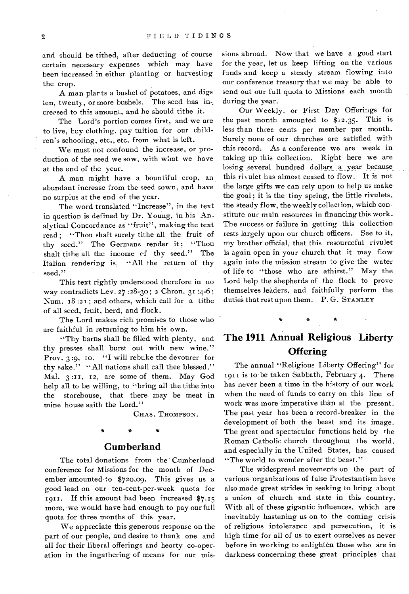and should be tithed, after deducting of course certain necessary expenses which may have been increased in either planting or harvesting the crop.

A man plarts a bushel of potatoes, and digs ten, twenty, or more bushels. The seed has in creased to this amount, and he should tithe it.

The Lord's portion comes first, and we are to live, buy clothing, pay tuition for our children's schooling, etc., etc. from what is left.

We must not confound the increase, or production of the seed we sow, with what we have at the end of the year.

A man might have a bountiful crop, an abundant increase from the seed sown, and have no surplus at the end of the year.

The word translated "Increase", in the text in question is defined by Dr. Young, in his Analytical Concordance as "fruit", making the text read ; "Thou shalt surely tithe all the fruit of thy seed." The Germans render it; "Thou shalt tithe all the income of thy seed." The Italian rendering is, "All the return of thy seed."

This text rightly understood therefore in no way contradicts Lev. 27 :28-30; 2 Chron. 31 :4-6; Num.  $18:21$ ; and others, which call for a tithe of all seed, fruit, herd, and flock.

The Lord makes rich promises to those who are faithful in returning to him his own.

"Thy barns shall be filled with plenty, and thy presses shall burst out with new wine." Prov. 3 :9, Io. "I will rebuke the devourer for thy sake." "All nations shall call thee blessed." Mal. 3 :It, 12, are some of them. May God help all to be willing, to "bring all the tithe into the storehouse, that there may be meat in mine house saith the Lord."

CHAS. THOMPSON.

## **Cumberland**

The total donations from the Cumberland conference for Missions for the month of December amounted to \$720.09. This gives us a good lead on our ten-cent-per-week quota for 1911. If this amount had been increased \$7.15 more, we would have had enough to pay our full quota for three months of this year.

We appreciate this generous response on the part of our people, and desire to thank one and all for their liberal offerings and hearty co-operation in the ingathering of means for our mis-

sions abroad. Now that we have a good start for the year, let us keep lifting on the various funds and keep a steady stream flowing into our conference treasury that we may be able to send out our full quota to Missions each month during the year.

Our Weekly, or First Day Offerings for the past month amounted to \$12.35. This is less than three cents per member per month. Surely none of our churches are satisfied with this record. As a conference we are weak in taking up this collection. Right here we are losing several hundred dollars a year because this rivulet has almost ceased to flow. It is not the large gifts we can rely upon to help us make the goal ; it is the tiny spring, the little rivulets, the steady flow, the weekly collection, which constitute our main resources in financing this work. The success or failure in getting this collection rests largely upon our church officers. See to it, my brother official, that this resourceful rivulet is again open in your church that it may flow again into the mission stream to give the water of life to "those who are athirst." May the Lord help the shepherds of the flock to prove themselves leaders, and faithfully perform the duties that rest upon them. P. G. STANLEY

## **The 1911 Annual Religious Liberty Offering**

\* \* \*

The annual "Religious Liberty Offering" for 1911 is to be taken Sabbath, February 4. There has never been a time in the history of our work when the need of funds to carry on this line of work was more imperative than at the present. The past year has been a record-breaker in the development of both the beast and its image. The great and spectacular functions held by the Roman Catholic church throughout the world, and especially in the United States, has caused "The world to wonder after the beast."

The widespread movements on the part of various- organizations of false Protestantism have also made great strides in seeking to bring about a union of church and state in this country. With all of these gigantic influences, which are inevitably hastening us on to the coming crisis of religious intolerance and persecution, it is high time for all of us to exert ourselves as never before in working to enlighten those who are in darkness concerning these great principles that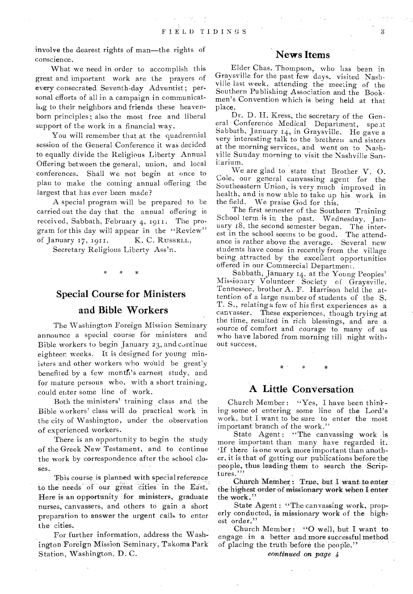involve the dearest rights of man—the rights of conscience.

What we need in order to accomplish this great and important work are the prayers of every consecrated Seventh-day Adventist ; personal efforts of all in a campaign in communicating to their neighbors and friends these heavenborn principles; also the most free and liberal support of the work in a financial way.

You will remember that at the quadrennial session of the General Conference it was decided to equally divide the Religious Liberty Annual Offering between the general, union, and local conferences. Shall we not begin at once to plan to make the coming annual offering the largest that has ever been made?

A special program will be prepared to be carried out the day that the annual offering is received, Sabbath, February 4, 1911. The program for this day will appear in the "Review" of January 17, 1911. K. C. RUSSELL,

Secretary Religious Liberty Ass'n.

## Special Course for Ministers

## and Bible Workers

The Washington Foreign Mission Seminary announce a special course for ministers and Bible workers to begin January 23, and continue eighteen weeks. It is designed for young ministers and other workers who would be greatly benefited by a few month's earnest study, and for mature persons, who, with a short training, could enter some line of work.

Both the ministers' training class and the Bible \\ orkers' class will do practical work in the city of Washington, under the observation of experienced workers.

There is an opportunity to begin the study of the Greek New Testament, and to continue the work by correspondence after the school closes.

This course is planned with special reference, to the needs of our great cities in the East. Here is an opportunity for ministers, graduate nurses, canvassers, and others to gain a short preparation to answer the urgent calls to enter the cities.

For further information, address the Washington Foreign Mission"Seminary, Takoma Park Station, Washington, D. C.

## News Items

Elder Chas. Thompson, who has been in Graysville for the past few days, visited Nashville last week, attending the meeting of the Southern Publishing Association and the Bookmen's Convention which is being held at that place.

Dr. D. H. Kress, the secretary of the General Conference Medical Department, speat Sabbath, January 14, in Graysville. He gave a very interesting talk to the brethren and sisters at the morning services, and went on to Nashville Sunday morning to visit the Nashville Sanitarium.

We are glad to state that Brother V. 0. Cole, our general canvassing agent for the Southeastern Union, is very much improved in health, and is now able to take up his work in the field. We praise God for this.

The first semester of the Southern Training School term.is in the past. Wednesday, January i8, the second semester began. The interest in the school seems to be good. The attendance is rather above the average. Several new students have come in recently from the village being attracted by the excellent opportunities offered in our Commercial Department.

Sabbath, January 14, at the Young Peoples' Missionary Volunteer Society of Graysville, Tennessee, brother A. F. Harrison held the attention of a large number of students of the S. T. S., relating a few of his first experiences as a canvasser. These experiences, though trying at the time, resulted in rich blessings, and are a source of comfort and courage to many of us who have labored from morning till night without success.

## A Little Conversation

Church Member: "Yes, I have been thinking some of entering some line of the Lord's work. but I want to be sure to enter the most important branch of the work."

State Agent: "The canvassing work is more important than many have regarded it. 'If there is one work more important than another, it is that of getting our publications before the people, thus leading them to search the Scriptures."'

Church Member: True, but I want to enter. the highest order of missionary work when I enter the work."

State Agent : "The canvassing work, properly conducted, is missionary work of the highest order."

Church Member: "O well, but I want to engage in a better and more successful method of placing the truth before the people."

*eontinued on page*